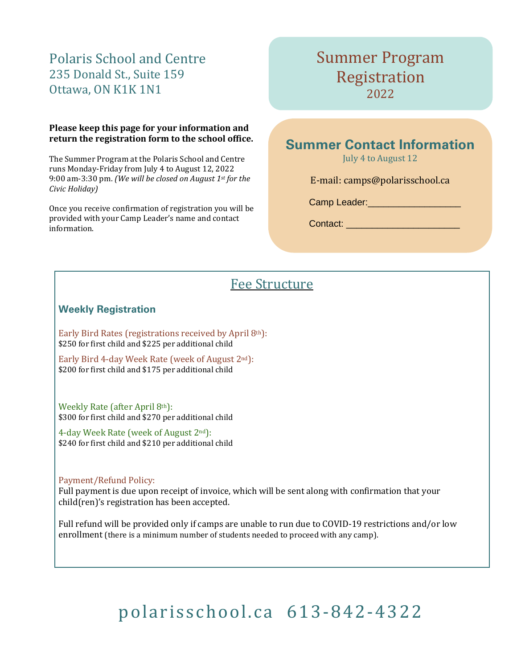## Polaris School and Centre 235 Donald St., Suite 159 Ottawa, ON K1K 1N1

### **Please keep this page for your information and return the registration form to the school office.**

The Summer Program at the Polaris School and Centre runs Monday-Friday from July 4 to August 12, 2022 9:00 am-3:30 pm. *(We will be closed on August 1st for the Civic Holiday)*

Once you receive confirmation of registration you will be provided with your Camp Leader's name and contact information.

## Summer Program Registration 2022

## **Summer Contact Information**

July 4 to August 12

E-mail: camp[s@polarisschool.ca](mailto:kerry@waldorfns.ca)

Camp Leader:\_\_\_\_\_\_\_\_\_\_\_\_\_\_\_\_\_\_\_\_\_\_

Contact: \_\_\_\_\_\_\_\_\_\_\_\_\_\_\_\_\_\_\_\_\_\_

## Fee Structure

## **Weekly Registration**

Early Bird Rates (registrations received by April 8th): \$250 for first child and \$225 per additional child

Early Bird 4-day Week Rate (week of August 2nd): \$200 for first child and \$175 per additional child

Weekly Rate (after April 8th): \$300 for first child and \$270 per additional child

4-day Week Rate (week of August 2nd): \$240 for first child and \$210 per additional child

### Payment/Refund Policy:

Full payment is due upon receipt of invoice, which will be sent along with confirmation that your child(ren)'s registration has been accepted.

Full refund will be provided only if camps are unable to run due to COVID-19 restrictions and/or low enrollment (there is a minimum number of students needed to proceed with any camp).

# [polarisschool.ca](http://waldorfns.org/) 613-842-4322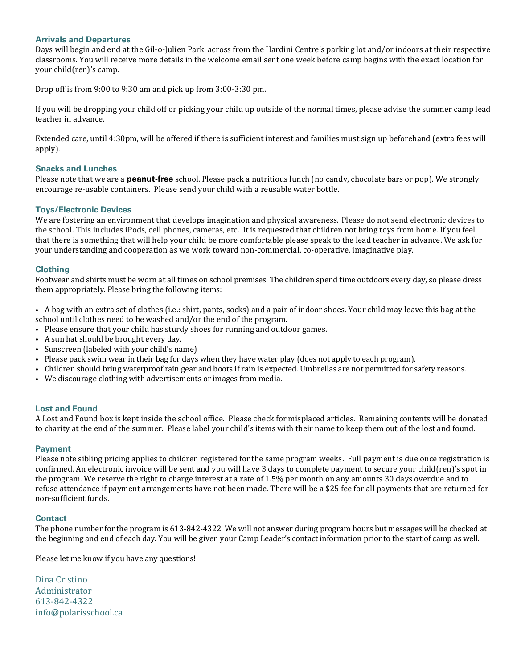#### **Arrivals and Departures**

Days will begin and end at the Gil-o-Julien Park, across from the Hardini Centre's parking lot and/or indoors at their respective classrooms. You will receive more details in the welcome email sent one week before camp begins with the exact location for your child(ren)'s camp.

Drop off is from 9:00 to 9:30 am and pick up from 3:00-3:30 pm.

If you will be dropping your child off or picking your child up outside of the normal times, please advise the summer camp lead teacher in advance.

Extended care, until 4:30pm, will be offered if there is sufficient interest and families must sign up beforehand (extra fees will apply).

#### **Snacks and Lunches**

Please note that we are a **peanut-free** school. Please pack a nutritious lunch (no candy, chocolate bars or pop). We strongly encourage re-usable containers. Please send your child with a reusable water bottle.

#### **Toys/Electronic Devices**

We are fostering an environment that develops imagination and physical awareness. Please do not send electronic devices to the school. This includes iPods, cell phones, cameras, etc. It is requested that children not bring toys from home. If you feel that there is something that will help your child be more comfortable please speak to the lead teacher in advance. We ask for your understanding and cooperation as we work toward non-commercial, co-operative, imaginative play.

#### **Clothing**

Footwear and shirts must be worn at all times on school premises. The children spend time outdoors every day, so please dress them appropriately. Please bring the following items:

• A bag with an extra set of clothes (i.e.: shirt, pants, socks) and a pair of indoor shoes. Your child may leave this bag at the school until clothes need to be washed and/or the end of the program.

- Please ensure that your child has sturdy shoes for running and outdoor games.
- A sun hat should be brought every day.
- Sunscreen (labeled with your child's name)
- Please pack swim wear in their bag for days when they have water play (does not apply to each program).
- Children should bring waterproof rain gear and boots if rain is expected. Umbrellas are not permitted for safety reasons.
- We discourage clothing with advertisements or images from media.

#### **Lost and Found**

A Lost and Found box is kept inside the school office. Please check for misplaced articles. Remaining contents will be donated to charity at the end of the summer. Please label your child's items with their name to keep them out of the lost and found.

#### **Payment**

Please note sibling pricing applies to children registered for the same program weeks. Full payment is due once registration is confirmed. An electronic invoice will be sent and you will have 3 days to complete payment to secure your child(ren)'s spot in the program. We reserve the right to charge interest at a rate of 1.5% per month on any amounts 30 days overdue and to refuse attendance if payment arrangements have not been made. There will be a \$25 fee for all payments that are returned for non-sufficient funds.

#### **Contact**

The phone number for the program is 613-842-4322. We will not answer during program hours but messages will be checked at the beginning and end of each day. You will be given your Camp Leader's contact information prior to the start of camp as well.

Please let me know if you have any questions!

Dina Cristino Administrator 613-842-4322 info@polarisschool.ca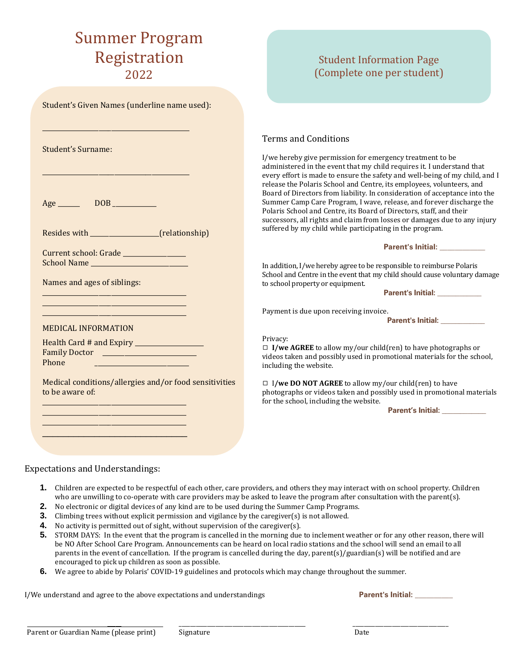# Summer Program Registration 2022

| Student's Given Names (underline name used):                              |                                                                                                                                                                                                                                                                                                                                                                                                                                             |
|---------------------------------------------------------------------------|---------------------------------------------------------------------------------------------------------------------------------------------------------------------------------------------------------------------------------------------------------------------------------------------------------------------------------------------------------------------------------------------------------------------------------------------|
| Student's Surname:                                                        | <b>Terms and Conditions</b><br>I/we hereby give permission for emergency treatment to be<br>administered in the event that my child requires it. I understand that<br>every effort is made to ensure the safety and well-being of my child, and I                                                                                                                                                                                           |
| $Age$ DOB<br>Resides with ______________________(relationship)            | release the Polaris School and Centre, its employees, volunteers, and<br>Board of Directors from liability. In consideration of acceptance into the<br>Summer Camp Care Program, I wave, release, and forever discharge the<br>Polaris School and Centre, its Board of Directors, staff, and their<br>successors, all rights and claim from losses or damages due to any injury<br>suffered by my child while participating in the program. |
| Current school: Grade ________________                                    | Parent's Initial: __________                                                                                                                                                                                                                                                                                                                                                                                                                |
| School Name                                                               | In addition, I/we hereby agree to be responsible to reimburse Polaris                                                                                                                                                                                                                                                                                                                                                                       |
| Names and ages of siblings:                                               | School and Centre in the event that my child should cause voluntary damage<br>to school property or equipment.                                                                                                                                                                                                                                                                                                                              |
|                                                                           | Payment is due upon receiving invoice.<br><b>Parent's Initial:</b>                                                                                                                                                                                                                                                                                                                                                                          |
| <b>MEDICAL INFORMATION</b>                                                | Privacy:                                                                                                                                                                                                                                                                                                                                                                                                                                    |
| Health Card # and Expiry _________________<br>Phone                       | $\Box$ I/we AGREE to allow my/our child(ren) to have photographs or<br>videos taken and possibly used in promotional materials for the school,<br>including the website.                                                                                                                                                                                                                                                                    |
| Medical conditions/allergies and/or food sensitivities<br>to be aware of: | $\Box$ I/we DO NOT AGREE to allow my/our child(ren) to have<br>photographs or videos taken and possibly used in promotional materials<br>for the school, including the website.                                                                                                                                                                                                                                                             |
|                                                                           |                                                                                                                                                                                                                                                                                                                                                                                                                                             |
|                                                                           |                                                                                                                                                                                                                                                                                                                                                                                                                                             |
|                                                                           |                                                                                                                                                                                                                                                                                                                                                                                                                                             |

#### Expectations and Understandings:

- **1.** Children are expected to be respectful of each other, care providers, and others they may interact with on school property. Children who are unwilling to co-operate with care providers may be asked to leave the program after consultation with the parent(s).
- **2.** No electronic or digital devices of any kind are to be used during the Summer Camp Programs.
- **3.** Climbing trees without explicit permission and vigilance by the caregiver(s) is not allowed.
- **4.** No activity is permitted out of sight, without supervision of the caregiver(s).
- **5.** STORM DAYS: In the event that the program is cancelled in the morning due to inclement weather or for any other reason, there will be NO After School Care Program. Announcements can be heard on local radio stations and the school will send an email to all parents in the event of cancellation. If the program is cancelled during the day, parent(s)/guardian(s) will be notified and are encouraged to pick up children as soon as possible.
- **6.** We agree to abide by Polaris' COVID-19 guidelines and protocols which may change throughout the summer.

I/We understand and agree to the above expectations and understandings **Parent's lnitial: Parent's lnitial:** 

Student Information Page (Complete one per student)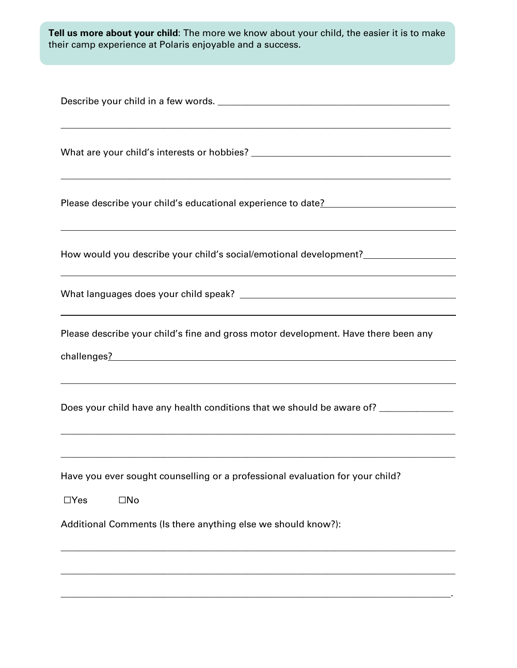**Tell us more about your child**: The more we know about your child, the easier it is to make their camp experience at Polaris enjoyable and a success.

| Please describe your child's educational experience to date?<br><u>Lease describe your child's educational experience to date?</u><br>,我们也不会有什么。""我们的人,我们也不会有什么?""我们的人,我们也不会有什么?""我们的人,我们也不会有什么?""我们的人,我们也不会有什么?""我们的人                                                                                                                                                                                   |
|----------------------------------------------------------------------------------------------------------------------------------------------------------------------------------------------------------------------------------------------------------------------------------------------------------------------------------------------------------------------------------------------------------|
| How would you describe your child's social/emotional development?                                                                                                                                                                                                                                                                                                                                        |
|                                                                                                                                                                                                                                                                                                                                                                                                          |
| ,我们也不会有什么。""我们的人,我们也不会有什么?""我们的人,我们也不会有什么?""我们的人,我们也不会有什么?""我们的人,我们也不会有什么?""我们的人<br>Please describe your child's fine and gross motor development. Have there been any<br>challenges? example, the contract of the contract of the contract of the contract of the contract of the contract of the contract of the contract of the contract of the contract of the contract of the contract of the contr |
| Does your child have any health conditions that we should be aware of? _______________<br>,我们也不能在这里的人,我们也不能在这里的人,我们也不能在这里的人,我们也不能在这里的人,我们也不能在这里的人,我们也不能在这里的人,我们也不能在这里的人,我们也                                                                                                                                                                                                                              |
| Have you ever sought counselling or a professional evaluation for your child?<br>$\square$ No<br>$\Box$ Yes<br>Additional Comments (Is there anything else we should know?):                                                                                                                                                                                                                             |
|                                                                                                                                                                                                                                                                                                                                                                                                          |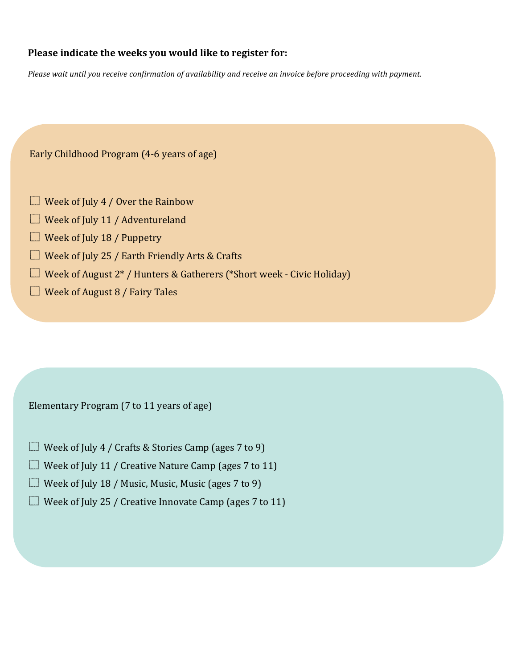## **Please indicate the weeks you would like to register for:**

Please wait until you receive confirmation of availability and receive an invoice before proceeding with payment.

Early Childhood Program (4-6 years of age)

- $\Box$  Week of July 4 / Over the Rainbow
- $\Box$  Week of July 11 / Adventureland
- $\Box$  Week of July 18 / Puppetry
- $\Box$  Week of July 25 / Earth Friendly Arts & Crafts
- $\Box$  Week of August 2\* / Hunters & Gatherers (\*Short week Civic Holiday)
- $\Box$  Week of August 8 / Fairy Tales

Elementary Program (7 to 11 years of age)

- $\Box$  Week of July 4 / Crafts & Stories Camp (ages 7 to 9)
- $\Box$  Week of July 11 / Creative Nature Camp (ages 7 to 11)
- $\Box$  Week of July 18 / Music, Music, Music (ages 7 to 9)
- $\Box$  Week of July 25 / Creative Innovate Camp (ages 7 to 11)